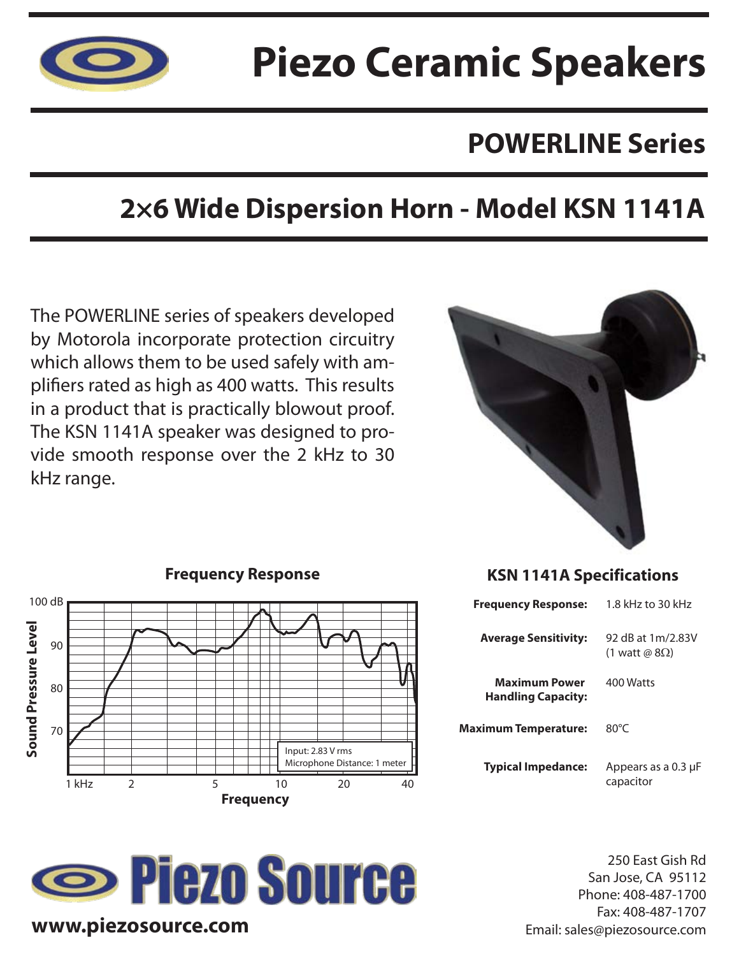

# **Piezo Ceramic Speakers**

## **POWERLINE Series**

## **2×6 Wide Dispersion Horn - Model KSN 1141A**

The POWERLINE series of speakers developed by Motorola incorporate protection circuitry which allows them to be used safely with amplifiers rated as high as 400 watts. This results in a product that is practically blowout proof. The KSN 1141A speaker was designed to provide smooth response over the 2 kHz to 30 kHz range.



#### **Frequency Response** 100 dB Sound Pressure Level **Sound Pressure Level** 90 80 70 Input: 2.83 V rms Microphone Distance: 1 meter 1 kHz 2 5 10 20 40 **Frequency**

## **Source www.piezosource.com**

### **KSN 1141A Specifications**

| <b>Frequency Response:</b>                        | 1.8 kHz to 30 kHz                          |
|---------------------------------------------------|--------------------------------------------|
| <b>Average Sensitivity:</b>                       | 92 dB at 1m/2.83V<br>(1 watt @ $8\Omega$ ) |
| <b>Maximum Power</b><br><b>Handling Capacity:</b> | 400 Watts                                  |
| Maximum Temperature:                              | $80^{\circ}$ C                             |
| <b>Typical Impedance:</b>                         | Appears as a 0.3 µF<br>capacitor           |

250 East Gish Rd San Jose, CA 95112 Phone: 408-487-1700 Fax: 408-487-1707 Email: sales@piezosource.com